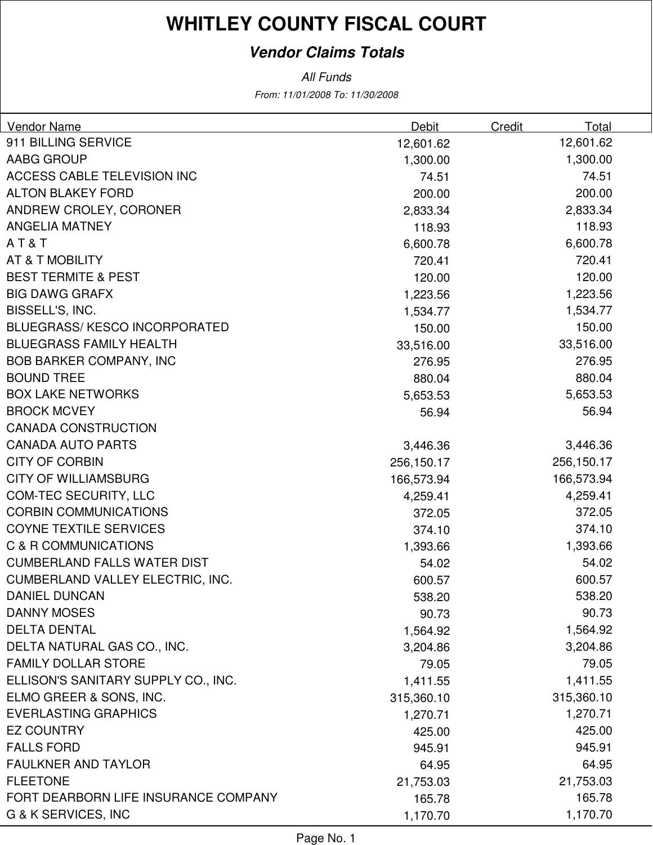# **WHITLEY COUNTY FISCAL COURT**

### **Vendor Claims Totals**

From: 11/01/2008 To: 11/30/2008 All Funds

| Vendor Name                          | <b>Debit</b> | Credit<br>Total |  |
|--------------------------------------|--------------|-----------------|--|
| 911 BILLING SERVICE                  | 12,601.62    | 12,601.62       |  |
| AABG GROUP                           | 1,300.00     | 1,300.00        |  |
| ACCESS CABLE TELEVISION INC          | 74.51        | 74.51           |  |
| <b>ALTON BLAKEY FORD</b>             | 200.00       | 200.00          |  |
| ANDREW CROLEY, CORONER               | 2,833.34     | 2,833.34        |  |
| <b>ANGELIA MATNEY</b>                | 118.93       | 118.93          |  |
| AT&T                                 | 6,600.78     | 6,600.78        |  |
| <b>AT &amp; T MOBILITY</b>           | 720.41       | 720.41          |  |
| <b>BEST TERMITE &amp; PEST</b>       | 120.00       | 120.00          |  |
| <b>BIG DAWG GRAFX</b>                | 1,223.56     | 1,223.56        |  |
| BISSELL'S, INC.                      | 1,534.77     | 1,534.77        |  |
| <b>BLUEGRASS/KESCO INCORPORATED</b>  | 150.00       | 150.00          |  |
| <b>BLUEGRASS FAMILY HEALTH</b>       | 33,516.00    | 33,516.00       |  |
| <b>BOB BARKER COMPANY, INC</b>       | 276.95       | 276.95          |  |
| <b>BOUND TREE</b>                    | 880.04       | 880.04          |  |
| <b>BOX LAKE NETWORKS</b>             | 5,653.53     | 5,653.53        |  |
| <b>BROCK MCVEY</b>                   | 56.94        | 56.94           |  |
| <b>CANADA CONSTRUCTION</b>           |              |                 |  |
| <b>CANADA AUTO PARTS</b>             | 3,446.36     | 3,446.36        |  |
| <b>CITY OF CORBIN</b>                | 256,150.17   | 256,150.17      |  |
| <b>CITY OF WILLIAMSBURG</b>          | 166,573.94   | 166,573.94      |  |
| <b>COM-TEC SECURITY, LLC</b>         | 4,259.41     | 4,259.41        |  |
| <b>CORBIN COMMUNICATIONS</b>         | 372.05       | 372.05          |  |
| <b>COYNE TEXTILE SERVICES</b>        | 374.10       | 374.10          |  |
| C & R COMMUNICATIONS                 | 1,393.66     | 1,393.66        |  |
| <b>CUMBERLAND FALLS WATER DIST</b>   | 54.02        | 54.02           |  |
| CUMBERLAND VALLEY ELECTRIC, INC.     | 600.57       | 600.57          |  |
| <b>DANIEL DUNCAN</b>                 | 538.20       | 538.20          |  |
| <b>DANNY MOSES</b>                   | 90.73        | 90.73           |  |
| <b>DELTA DENTAL</b>                  | 1,564.92     | 1,564.92        |  |
| DELTA NATURAL GAS CO., INC.          | 3,204.86     | 3,204.86        |  |
| FAMILY DOLLAR STORE                  | 79.05        | 79.05           |  |
| ELLISON'S SANITARY SUPPLY CO., INC.  | 1,411.55     | 1,411.55        |  |
| ELMO GREER & SONS, INC.              | 315,360.10   | 315,360.10      |  |
| <b>EVERLASTING GRAPHICS</b>          | 1,270.71     | 1,270.71        |  |
| <b>EZ COUNTRY</b>                    | 425.00       | 425.00          |  |
| <b>FALLS FORD</b>                    | 945.91       | 945.91          |  |
| <b>FAULKNER AND TAYLOR</b>           | 64.95        | 64.95           |  |
| <b>FLEETONE</b>                      | 21,753.03    | 21,753.03       |  |
| FORT DEARBORN LIFE INSURANCE COMPANY | 165.78       | 165.78          |  |
| G & K SERVICES, INC                  | 1,170.70     | 1,170.70        |  |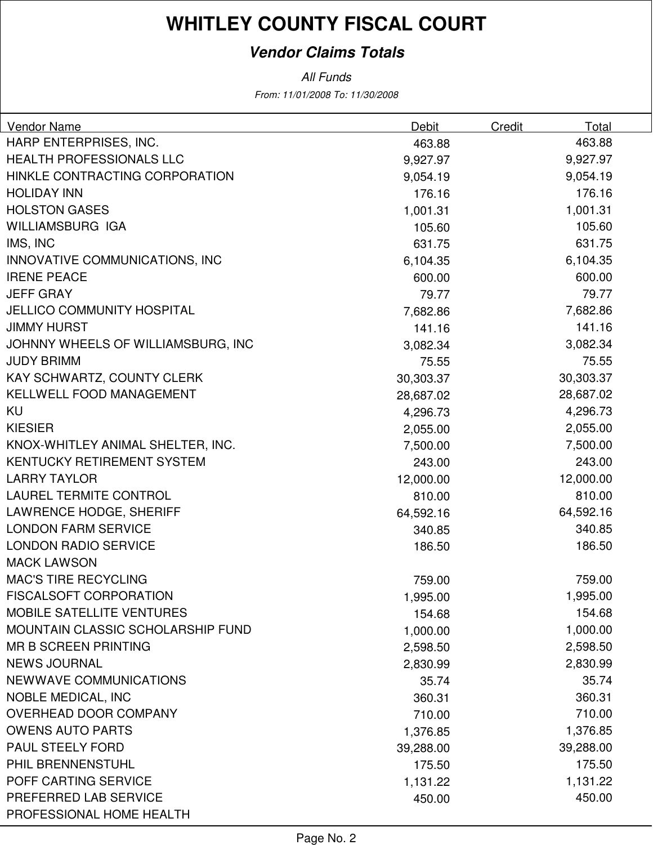# **WHITLEY COUNTY FISCAL COURT**

### **Vendor Claims Totals**

All Funds

From: 11/01/2008 To: 11/30/2008

| Vendor Name                        | <b>Debit</b> | Credit | Total     |
|------------------------------------|--------------|--------|-----------|
| HARP ENTERPRISES, INC.             | 463.88       |        | 463.88    |
| <b>HEALTH PROFESSIONALS LLC</b>    | 9,927.97     |        | 9,927.97  |
| HINKLE CONTRACTING CORPORATION     | 9,054.19     |        | 9,054.19  |
| <b>HOLIDAY INN</b>                 | 176.16       |        | 176.16    |
| <b>HOLSTON GASES</b>               | 1,001.31     |        | 1,001.31  |
| WILLIAMSBURG IGA                   | 105.60       |        | 105.60    |
| IMS, INC                           | 631.75       |        | 631.75    |
| INNOVATIVE COMMUNICATIONS, INC.    | 6,104.35     |        | 6,104.35  |
| <b>IRENE PEACE</b>                 | 600.00       |        | 600.00    |
| <b>JEFF GRAY</b>                   | 79.77        |        | 79.77     |
| <b>JELLICO COMMUNITY HOSPITAL</b>  | 7,682.86     |        | 7,682.86  |
| <b>JIMMY HURST</b>                 | 141.16       |        | 141.16    |
| JOHNNY WHEELS OF WILLIAMSBURG, INC | 3,082.34     |        | 3,082.34  |
| <b>JUDY BRIMM</b>                  | 75.55        |        | 75.55     |
| KAY SCHWARTZ, COUNTY CLERK         | 30,303.37    |        | 30,303.37 |
| KELLWELL FOOD MANAGEMENT           | 28,687.02    |        | 28,687.02 |
| KU                                 | 4,296.73     |        | 4,296.73  |
| <b>KIESIER</b>                     | 2,055.00     |        | 2,055.00  |
| KNOX-WHITLEY ANIMAL SHELTER, INC.  | 7,500.00     |        | 7,500.00  |
| <b>KENTUCKY RETIREMENT SYSTEM</b>  | 243.00       |        | 243.00    |
| <b>LARRY TAYLOR</b>                | 12,000.00    |        | 12,000.00 |
| <b>LAUREL TERMITE CONTROL</b>      | 810.00       |        | 810.00    |
| LAWRENCE HODGE, SHERIFF            | 64,592.16    |        | 64,592.16 |
| <b>LONDON FARM SERVICE</b>         | 340.85       |        | 340.85    |
| <b>LONDON RADIO SERVICE</b>        | 186.50       |        | 186.50    |
| <b>MACK LAWSON</b>                 |              |        |           |
| <b>MAC'S TIRE RECYCLING</b>        | 759.00       |        | 759.00    |
| <b>FISCALSOFT CORPORATION</b>      | 1,995.00     |        | 1,995.00  |
| <b>MOBILE SATELLITE VENTURES</b>   | 154.68       |        | 154.68    |
| MOUNTAIN CLASSIC SCHOLARSHIP FUND  | 1,000.00     |        | 1,000.00  |
| <b>MR B SCREEN PRINTING</b>        | 2,598.50     |        | 2,598.50  |
| <b>NEWS JOURNAL</b>                | 2,830.99     |        | 2,830.99  |
| NEWWAVE COMMUNICATIONS             | 35.74        |        | 35.74     |
| <b>NOBLE MEDICAL, INC</b>          | 360.31       |        | 360.31    |
| <b>OVERHEAD DOOR COMPANY</b>       | 710.00       |        | 710.00    |
| <b>OWENS AUTO PARTS</b>            | 1,376.85     |        | 1,376.85  |
| <b>PAUL STEELY FORD</b>            | 39,288.00    |        | 39,288.00 |
| PHIL BRENNENSTUHL                  | 175.50       |        | 175.50    |
| POFF CARTING SERVICE               | 1,131.22     |        | 1,131.22  |
| PREFERRED LAB SERVICE              | 450.00       |        | 450.00    |
| PROFESSIONAL HOME HEALTH           |              |        |           |